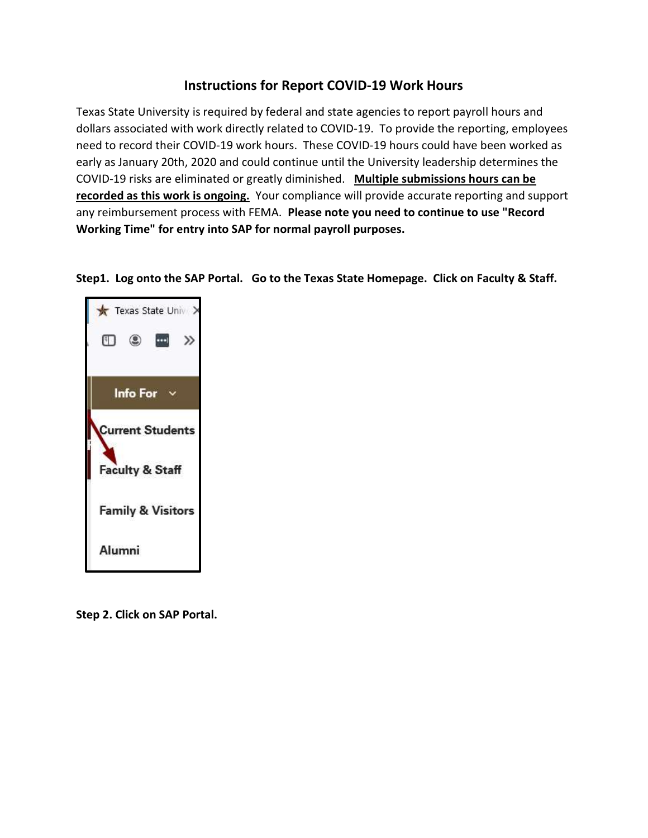# Instructions for Report COVID-19 Work Hours

Texas State University is required by federal and state agencies to report payroll hours and dollars associated with work directly related to COVID-19. To provide the reporting, employees need to record their COVID-19 work hours. These COVID-19 hours could have been worked as early as January 20th, 2020 and could continue until the University leadership determines the COVID-19 risks are eliminated or greatly diminished. Multiple submissions hours can be recorded as this work is ongoing. Your compliance will provide accurate reporting and support any reimbursement process with FEMA. Please note you need to continue to use "Record Working Time" for entry into SAP for normal payroll purposes.

Step1. Log onto the SAP Portal. Go to the Texas State Homepage. Click on Faculty & Staff.



Step 2. Click on SAP Portal.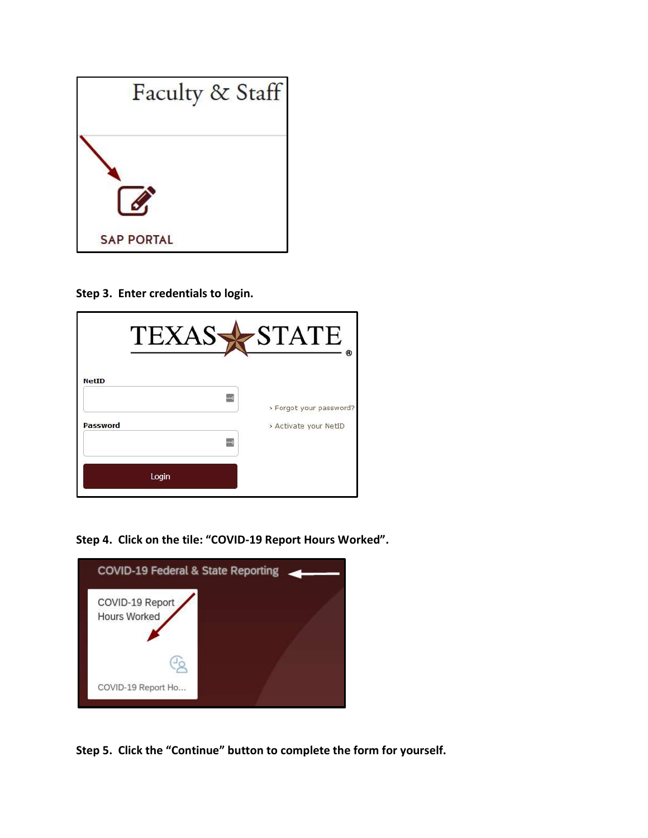

Step 3. Enter credentials to login.

| <b>TEXAS</b> | <b>STATE</b><br>®                                |
|--------------|--------------------------------------------------|
| <b>NetID</b> |                                                  |
| Password     | > Forgot your password?<br>> Activate your NetID |
|              |                                                  |
| Login        |                                                  |

Step 4. Click on the tile: "COVID-19 Report Hours Worked".



Step 5. Click the "Continue" button to complete the form for yourself.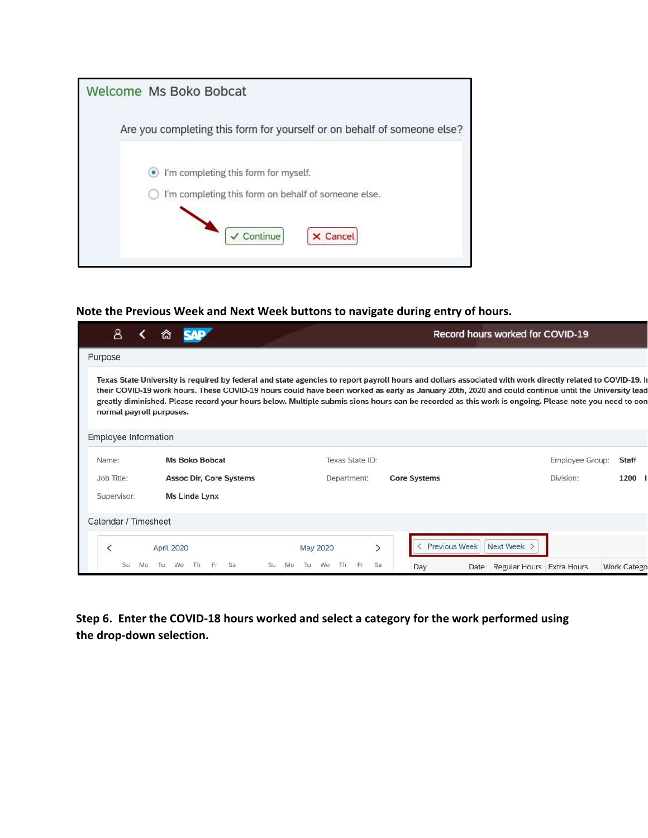| Welcome Ms Boko Bobcat                                                  |
|-------------------------------------------------------------------------|
| Are you completing this form for yourself or on behalf of someone else? |
| I'm completing this form for myself.<br>٠                               |
| I'm completing this form on behalf of someone else.                     |
| $\checkmark$ Continue<br><b>X</b> Cancel                                |

#### Note the Previous Week and Next Week buttons to navigate during entry of hours.

| 8                        | ົຜ                             |                                                                                                                                                                                                                                                                                                                                                                                                                                                                          | Record hours worked for COVID-19                |  |  |  |
|--------------------------|--------------------------------|--------------------------------------------------------------------------------------------------------------------------------------------------------------------------------------------------------------------------------------------------------------------------------------------------------------------------------------------------------------------------------------------------------------------------------------------------------------------------|-------------------------------------------------|--|--|--|
| Purpose                  |                                |                                                                                                                                                                                                                                                                                                                                                                                                                                                                          |                                                 |  |  |  |
| normal payroll purposes. |                                | Texas State University is required by federal and state agencies to report payroll hours and dollars associated with work directly related to COVID-19. In<br>their COVID-19 work hours. These COVID-19 hours could have been worked as early as January 20th, 2020 and could continue until the University lead<br>greatly diminished. Please record your hours below. Multiple submis sions hours can be recorded as this work is ongoing. Please note you need to con |                                                 |  |  |  |
| Employee Information     |                                |                                                                                                                                                                                                                                                                                                                                                                                                                                                                          |                                                 |  |  |  |
| Name:                    | <b>Ms Boko Bobcat</b>          | Texas State ID:                                                                                                                                                                                                                                                                                                                                                                                                                                                          | Employee Group:<br>Staff                        |  |  |  |
| Job Title:               | <b>Assoc Dir, Core Systems</b> | Department:<br><b>Core Systems</b>                                                                                                                                                                                                                                                                                                                                                                                                                                       | Division:<br>1200                               |  |  |  |
| Supervisor:              | Ms Linda Lynx                  |                                                                                                                                                                                                                                                                                                                                                                                                                                                                          |                                                 |  |  |  |
| Calendar / Timesheet     |                                |                                                                                                                                                                                                                                                                                                                                                                                                                                                                          |                                                 |  |  |  |
|                          | April 2020                     | <b>Previous Week</b><br>$\left\langle \right\rangle$<br>May 2020                                                                                                                                                                                                                                                                                                                                                                                                         | Next Week                                       |  |  |  |
| Su<br>Mo                 | We<br>Su<br>Тu                 | We<br>Sa<br>Mo<br>Day<br>Date                                                                                                                                                                                                                                                                                                                                                                                                                                            | Regular Hours Extra Hours<br><b>Work Catego</b> |  |  |  |

Step 6. Enter the COVID-18 hours worked and select a category for the work performed using the drop-down selection.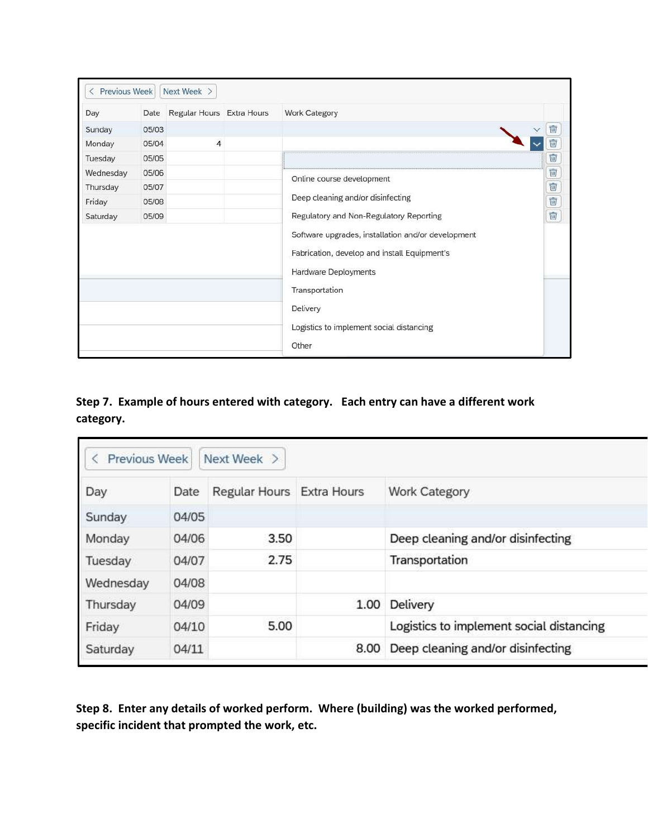| Day       | Date  | Regular Hours Extra Hours                                                                                                  | <b>Work Category</b>                     |        |  |
|-----------|-------|----------------------------------------------------------------------------------------------------------------------------|------------------------------------------|--------|--|
|           |       |                                                                                                                            |                                          |        |  |
| Sunday    | 05/03 |                                                                                                                            |                                          | Ŵ      |  |
| Monday    | 05/04 | $\overline{4}$                                                                                                             |                                          |        |  |
| Tuesday   | 05/05 |                                                                                                                            |                                          | Ŵ      |  |
| Wednesday | 05/06 |                                                                                                                            | Online course development                |        |  |
| Thursday  | 05/07 |                                                                                                                            |                                          |        |  |
| Friday    | 05/08 |                                                                                                                            | Deep cleaning and/or disinfecting        | ded de |  |
| Saturday  | 05/09 |                                                                                                                            | Regulatory and Non-Regulatory Reporting  |        |  |
|           |       | Software upgrades, installation and/or development<br>Fabrication, develop and install Equipment's<br>Hardware Deployments |                                          |        |  |
|           |       |                                                                                                                            | Transportation                           |        |  |
|           |       |                                                                                                                            | Delivery                                 |        |  |
|           |       |                                                                                                                            | Logistics to implement social distancing |        |  |
|           |       |                                                                                                                            | Other                                    |        |  |

## Step 7. Example of hours entered with category. Each entry can have a different work category.

| Day       | Date  | Regular Hours Extra Hours |      | <b>Work Category</b>                     |
|-----------|-------|---------------------------|------|------------------------------------------|
| Sunday    | 04/05 |                           |      |                                          |
| Monday    | 04/06 | 3.50                      |      | Deep cleaning and/or disinfecting        |
| Tuesday   | 04/07 | 2.75                      |      | Transportation                           |
| Wednesday | 04/08 |                           |      |                                          |
| Thursday  | 04/09 |                           | 1.00 | Delivery                                 |
| Friday    | 04/10 | 5.00                      |      | Logistics to implement social distancing |
| Saturday  | 04/11 |                           | 8.00 | Deep cleaning and/or disinfecting        |

Step 8. Enter any details of worked perform. Where (building) was the worked performed, specific incident that prompted the work, etc.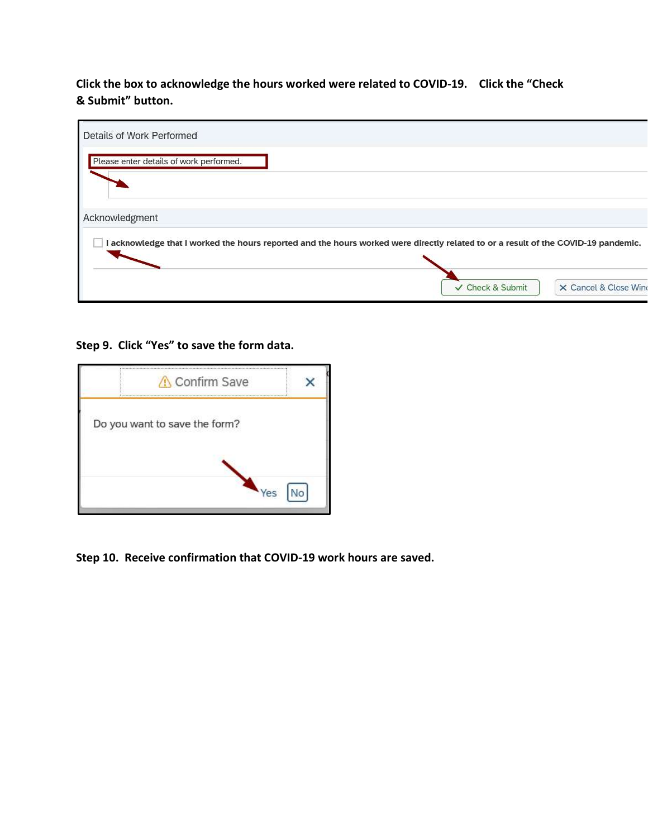# Click the box to acknowledge the hours worked were related to COVID-19. Click the "Check & Submit" button.

| Details of Work Performed                                                                                                          |  |                  |                       |
|------------------------------------------------------------------------------------------------------------------------------------|--|------------------|-----------------------|
| Please enter details of work performed.                                                                                            |  |                  |                       |
|                                                                                                                                    |  |                  |                       |
| Acknowledgment                                                                                                                     |  |                  |                       |
| I acknowledge that I worked the hours reported and the hours worked were directly related to or a result of the COVID-19 pandemic. |  |                  |                       |
|                                                                                                                                    |  |                  |                       |
|                                                                                                                                    |  | ✓ Check & Submit | X Cancel & Close Wine |

### Step 9. Click "Yes" to save the form data.



Step 10. Receive confirmation that COVID-19 work hours are saved.